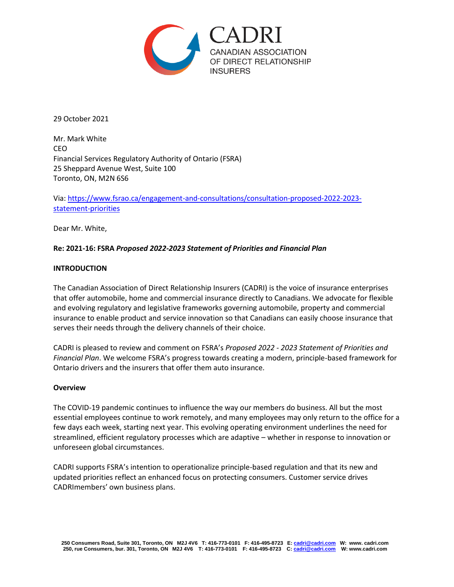

29 October 2021

Mr. Mark White CEO Financial Services Regulatory Authority of Ontario (FSRA) 25 Sheppard Avenue West, Suite 100 Toronto, ON, M2N 6S6

Via: [https://www.fsrao.ca/engagement-and-consultations/consultation-proposed-2022-2023](https://www.fsrao.ca/engagement-and-consultations/consultation-proposed-2022-2023-statement-priorities) [statement-priorities](https://www.fsrao.ca/engagement-and-consultations/consultation-proposed-2022-2023-statement-priorities)

Dear Mr. White,

# **Re: 2021-16: FSRA** *Proposed 2022-2023 Statement of Priorities and Financial Plan*

### **INTRODUCTION**

The Canadian Association of Direct Relationship Insurers (CADRI) is the voice of insurance enterprises that offer automobile, home and commercial insurance directly to Canadians. We advocate for flexible and evolving regulatory and legislative frameworks governing automobile, property and commercial insurance to enable product and service innovation so that Canadians can easily choose insurance that serves their needs through the delivery channels of their choice.

CADRI is pleased to review and comment on FSRA's *Proposed 2022 - 2023 Statement of Priorities and Financial Plan*. We welcome FSRA's progress towards creating a modern, principle-based framework for Ontario drivers and the insurers that offer them auto insurance.

#### **Overview**

The COVID-19 pandemic continues to influence the way our members do business. All but the most essential employees continue to work remotely, and many employees may only return to the office for a few days each week, starting next year. This evolving operating environment underlines the need for streamlined, efficient regulatory processes which are adaptive – whether in response to innovation or unforeseen global circumstances.

CADRI supports FSRA's intention to operationalize principle-based regulation and that its new and updated priorities reflect an enhanced focus on protecting consumers. Customer service drives CADRImembers' own business plans.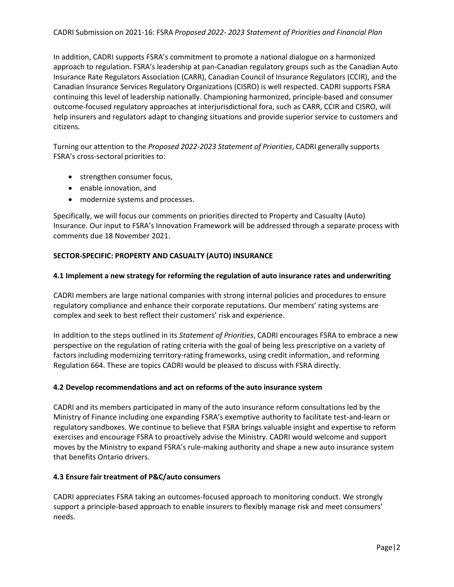In addition, CADRI supports FSRA's commitment to promote a national dialogue on a harmonized approach to regulation. FSRA's leadership at pan-Canadian regulatory groups such as the Canadian Auto Insurance Rate Regulators Association (CARR), Canadian Council of Insurance Regulators (CCIR), and the Canadian Insurance Services Regulatory Organizations (CISRO) is well respected. CADRI supports FSRA continuing this level of leadership nationally. Championing harmonized, principle-based and consumer outcome-focused regulatory approaches at interjurisdictional fora, such as CARR, CCIR and CISRO, will help insurers and regulators adapt to changing situations and provide superior service to customers and citizens.

Turning our attention to the *Proposed 2022-2023 Statement of Priorities*, CADRI generally supports FSRA's cross-sectoral priorities to:

- strengthen consumer focus,
- enable innovation, and
- modernize systems and processes.

Specifically, we will focus our comments on priorities directed to Property and Casualty (Auto) Insurance. Our input to FSRA's Innovation Framework will be addressed through a separate process with comments due 18 November 2021.

# **SECTOR-SPECIFIC: PROPERTY AND CASUALTY (AUTO) INSURANCE**

### **4.1 Implement a new strategy for reforming the regulation of auto insurance rates and underwriting**

CADRI members are large national companies with strong internal policies and procedures to ensure regulatory compliance and enhance their corporate reputations. Our members' rating systems are complex and seek to best reflect their customers' risk and experience.

In addition to the steps outlined in its *Statement of Priorities*, CADRI encourages FSRA to embrace a new perspective on the regulation of rating criteria with the goal of being less prescriptive on a variety of factors including modernizing territory-rating frameworks, using credit information, and reforming Regulation 664. These are topics CADRI would be pleased to discuss with FSRA directly.

# **4.2 Develop recommendations and act on reforms of the auto insurance system**

CADRI and its members participated in many of the auto insurance reform consultations led by the Ministry of Finance including one expanding FSRA's exemptive authority to facilitate test-and-learn or regulatory sandboxes. We continue to believe that FSRA brings valuable insight and expertise to reform exercises and encourage FSRA to proactively advise the Ministry. CADRI would welcome and support moves by the Ministry to expand FSRA's rule-making authority and shape a new auto insurance system that benefits Ontario drivers.

# **4.3 Ensure fair treatment of P&C/auto consumers**

CADRI appreciates FSRA taking an outcomes-focused approach to monitoring conduct. We strongly support a principle-based approach to enable insurers to flexibly manage risk and meet consumers' needs.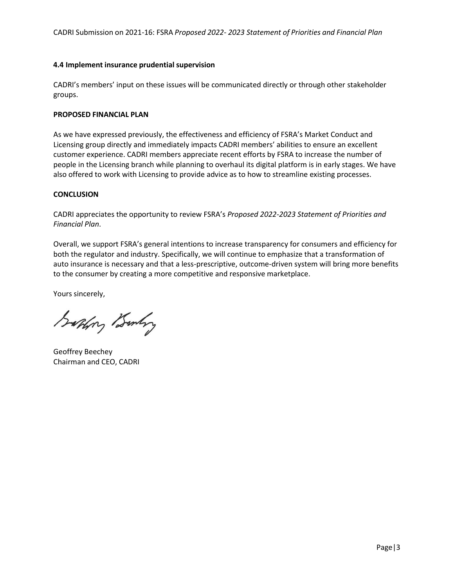### **4.4 Implement insurance prudential supervision**

CADRI's members' input on these issues will be communicated directly or through other stakeholder groups.

#### **PROPOSED FINANCIAL PLAN**

As we have expressed previously, the effectiveness and efficiency of FSRA's Market Conduct and Licensing group directly and immediately impacts CADRI members' abilities to ensure an excellent customer experience. CADRI members appreciate recent efforts by FSRA to increase the number of people in the Licensing branch while planning to overhaul its digital platform is in early stages. We have also offered to work with Licensing to provide advice as to how to streamline existing processes.

### **CONCLUSION**

CADRI appreciates the opportunity to review FSRA's *Proposed 2022-2023 Statement of Priorities and Financial Plan*.

Overall, we support FSRA's general intentions to increase transparency for consumers and efficiency for both the regulator and industry. Specifically, we will continue to emphasize that a transformation of auto insurance is necessary and that a less-prescriptive, outcome-driven system will bring more benefits to the consumer by creating a more competitive and responsive marketplace.

Yours sincerely,

Saphry Bunky

Geoffrey Beechey Chairman and CEO, CADRI